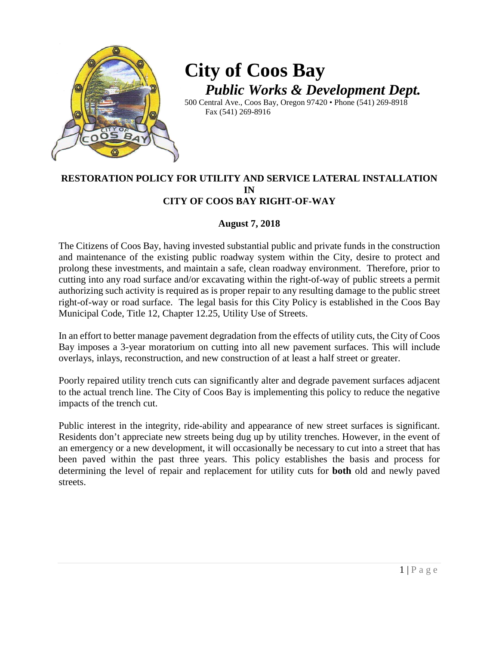

# **City of Coos Bay** *Public Works & Development Dept.*

500 Central Ave., Coos Bay, Oregon 97420 • Phone (541) 269-8918 Fax (541) 269-8916

#### **RESTORATION POLICY FOR UTILITY AND SERVICE LATERAL INSTALLATION IN CITY OF COOS BAY RIGHT-OF-WAY**

#### **August 7, 2018**

The Citizens of Coos Bay, having invested substantial public and private funds in the construction and maintenance of the existing public roadway system within the City, desire to protect and prolong these investments, and maintain a safe, clean roadway environment. Therefore, prior to cutting into any road surface and/or excavating within the right-of-way of public streets a permit authorizing such activity is required as is proper repair to any resulting damage to the public street right-of-way or road surface. The legal basis for this City Policy is established in the Coos Bay Municipal Code, Title 12, Chapter 12.25, Utility Use of Streets.

In an effort to better manage pavement degradation from the effects of utility cuts, the City of Coos Bay imposes a 3-year moratorium on cutting into all new pavement surfaces. This will include overlays, inlays, reconstruction, and new construction of at least a half street or greater.

Poorly repaired utility trench cuts can significantly alter and degrade pavement surfaces adjacent to the actual trench line. The City of Coos Bay is implementing this policy to reduce the negative impacts of the trench cut.

Public interest in the integrity, ride-ability and appearance of new street surfaces is significant. Residents don't appreciate new streets being dug up by utility trenches. However, in the event of an emergency or a new development, it will occasionally be necessary to cut into a street that has been paved within the past three years. This policy establishes the basis and process for determining the level of repair and replacement for utility cuts for **both** old and newly paved streets.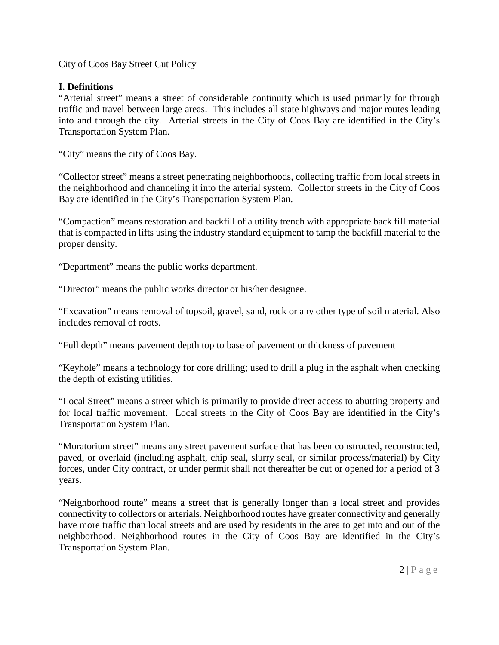City of Coos Bay Street Cut Policy

# **I. Definitions**

"Arterial street" means a street of considerable continuity which is used primarily for through traffic and travel between large areas. This includes all state highways and major routes leading into and through the city. Arterial streets in the City of Coos Bay are identified in the City's Transportation System Plan.

"City" means the city of Coos Bay.

"Collector street" means a street penetrating neighborhoods, collecting traffic from local streets in the neighborhood and channeling it into the arterial system. Collector streets in the City of Coos Bay are identified in the City's Transportation System Plan.

"Compaction" means restoration and backfill of a utility trench with appropriate back fill material that is compacted in lifts using the industry standard equipment to tamp the backfill material to the proper density.

"Department" means the public works department.

"Director" means the public works director or his/her designee.

"Excavation" means removal of topsoil, gravel, sand, rock or any other type of soil material. Also includes removal of roots.

"Full depth" means pavement depth top to base of pavement or thickness of pavement

"Keyhole" means a technology for core drilling; used to drill a plug in the asphalt when checking the depth of existing utilities.

"Local Street" means a street which is primarily to provide direct access to abutting property and for local traffic movement. Local streets in the City of Coos Bay are identified in the City's Transportation System Plan.

"Moratorium street" means any street pavement surface that has been constructed, reconstructed, paved, or overlaid (including asphalt, chip seal, slurry seal, or similar process/material) by City forces, under City contract, or under permit shall not thereafter be cut or opened for a period of 3 years.

"Neighborhood route" means a street that is generally longer than a local street and provides connectivity to collectors or arterials. Neighborhood routes have greater connectivity and generally have more traffic than local streets and are used by residents in the area to get into and out of the neighborhood. Neighborhood routes in the City of Coos Bay are identified in the City's Transportation System Plan.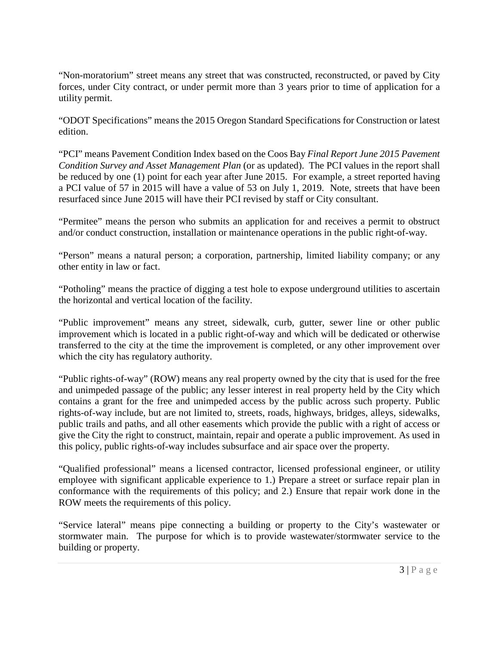"Non-moratorium" street means any street that was constructed, reconstructed, or paved by City forces, under City contract, or under permit more than 3 years prior to time of application for a utility permit.

"ODOT Specifications" means the 2015 Oregon Standard Specifications for Construction or latest edition.

"PCI" means Pavement Condition Index based on the Coos Bay *Final Report June 2015 Pavement Condition Survey and Asset Management Plan* (or as updated). The PCI values in the report shall be reduced by one (1) point for each year after June 2015. For example, a street reported having a PCI value of 57 in 2015 will have a value of 53 on July 1, 2019. Note, streets that have been resurfaced since June 2015 will have their PCI revised by staff or City consultant.

"Permitee" means the person who submits an application for and receives a permit to obstruct and/or conduct construction, installation or maintenance operations in the public right-of-way.

"Person" means a natural person; a corporation, partnership, limited liability company; or any other entity in law or fact.

"Potholing" means the practice of digging a test hole to expose underground utilities to ascertain the horizontal and vertical location of the facility.

"Public improvement" means any street, sidewalk, curb, gutter, sewer line or other public improvement which is located in a public right-of-way and which will be dedicated or otherwise transferred to the city at the time the improvement is completed, or any other improvement over which the city has regulatory authority.

"Public rights-of-way" (ROW) means any real property owned by the city that is used for the free and unimpeded passage of the public; any lesser interest in real property held by the City which contains a grant for the free and unimpeded access by the public across such property. Public rights-of-way include, but are not limited to, streets, roads, highways, bridges, alleys, sidewalks, public trails and paths, and all other easements which provide the public with a right of access or give the City the right to construct, maintain, repair and operate a public improvement. As used in this policy, public rights-of-way includes subsurface and air space over the property.

"Qualified professional" means a licensed contractor, licensed professional engineer, or utility employee with significant applicable experience to 1.) Prepare a street or surface repair plan in conformance with the requirements of this policy; and 2.) Ensure that repair work done in the ROW meets the requirements of this policy.

"Service lateral" means pipe connecting a building or property to the City's wastewater or stormwater main. The purpose for which is to provide wastewater/stormwater service to the building or property.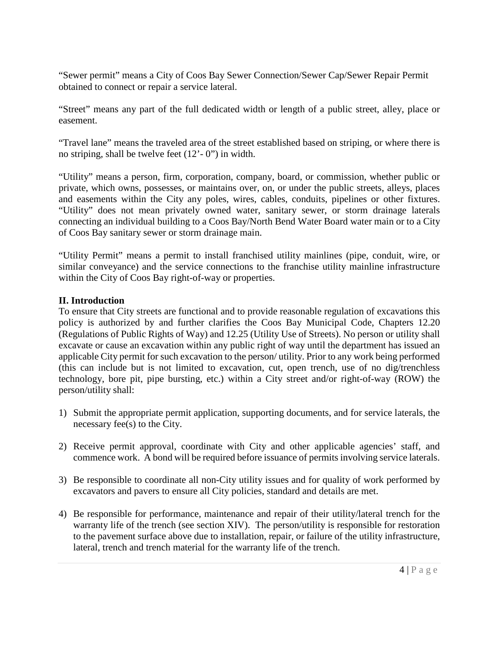"Sewer permit" means a City of Coos Bay Sewer Connection/Sewer Cap/Sewer Repair Permit obtained to connect or repair a service lateral.

"Street" means any part of the full dedicated width or length of a public street, alley, place or easement.

"Travel lane" means the traveled area of the street established based on striping, or where there is no striping, shall be twelve feet (12'- 0") in width.

"Utility" means a person, firm, corporation, company, board, or commission, whether public or private, which owns, possesses, or maintains over, on, or under the public streets, alleys, places and easements within the City any poles, wires, cables, conduits, pipelines or other fixtures. "Utility" does not mean privately owned water, sanitary sewer, or storm drainage laterals connecting an individual building to a Coos Bay/North Bend Water Board water main or to a City of Coos Bay sanitary sewer or storm drainage main.

"Utility Permit" means a permit to install franchised utility mainlines (pipe, conduit, wire, or similar conveyance) and the service connections to the franchise utility mainline infrastructure within the City of Coos Bay right-of-way or properties.

# **II. Introduction**

To ensure that City streets are functional and to provide reasonable regulation of excavations this policy is authorized by and further clarifies the Coos Bay Municipal Code, Chapters 12.20 (Regulations of Public Rights of Way) and 12.25 (Utility Use of Streets). No person or utility shall excavate or cause an excavation within any public right of way until the department has issued an applicable City permit for such excavation to the person/ utility. Prior to any work being performed (this can include but is not limited to excavation, cut, open trench, use of no dig/trenchless technology, bore pit, pipe bursting, etc.) within a City street and/or right-of-way (ROW) the person/utility shall:

- 1) Submit the appropriate permit application, supporting documents, and for service laterals, the necessary fee(s) to the City.
- 2) Receive permit approval, coordinate with City and other applicable agencies' staff, and commence work. A bond will be required before issuance of permits involving service laterals.
- 3) Be responsible to coordinate all non-City utility issues and for quality of work performed by excavators and pavers to ensure all City policies, standard and details are met.
- 4) Be responsible for performance, maintenance and repair of their utility/lateral trench for the warranty life of the trench (see section XIV). The person/utility is responsible for restoration to the pavement surface above due to installation, repair, or failure of the utility infrastructure, lateral, trench and trench material for the warranty life of the trench.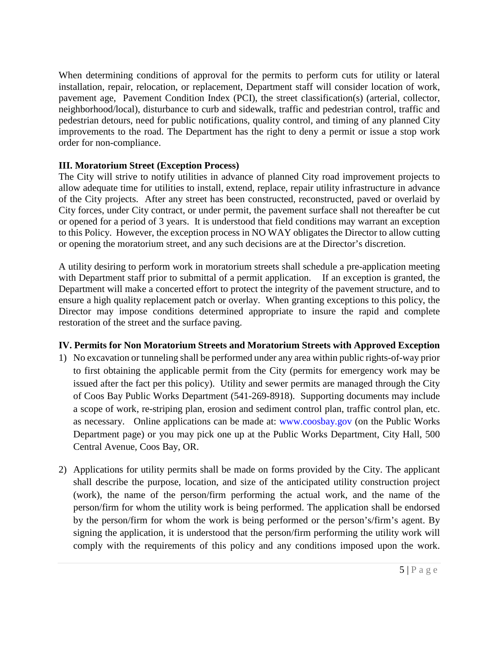When determining conditions of approval for the permits to perform cuts for utility or lateral installation, repair, relocation, or replacement, Department staff will consider location of work, pavement age, Pavement Condition Index (PCI), the street classification(s) (arterial, collector, neighborhood/local), disturbance to curb and sidewalk, traffic and pedestrian control, traffic and pedestrian detours, need for public notifications, quality control, and timing of any planned City improvements to the road. The Department has the right to deny a permit or issue a stop work order for non-compliance.

# **III. Moratorium Street (Exception Process)**

The City will strive to notify utilities in advance of planned City road improvement projects to allow adequate time for utilities to install, extend, replace, repair utility infrastructure in advance of the City projects. After any street has been constructed, reconstructed, paved or overlaid by City forces, under City contract, or under permit, the pavement surface shall not thereafter be cut or opened for a period of 3 years. It is understood that field conditions may warrant an exception to this Policy. However, the exception process in NO WAY obligates the Director to allow cutting or opening the moratorium street, and any such decisions are at the Director's discretion.

A utility desiring to perform work in moratorium streets shall schedule a pre-application meeting with Department staff prior to submittal of a permit application. If an exception is granted, the Department will make a concerted effort to protect the integrity of the pavement structure, and to ensure a high quality replacement patch or overlay. When granting exceptions to this policy, the Director may impose conditions determined appropriate to insure the rapid and complete restoration of the street and the surface paving.

# **IV. Permits for Non Moratorium Streets and Moratorium Streets with Approved Exception**

- 1) No excavation or tunneling shall be performed under any area within public rights-of-way prior to first obtaining the applicable permit from the City (permits for emergency work may be issued after the fact per this policy). Utility and sewer permits are managed through the City of Coos Bay Public Works Department (541-269-8918). Supporting documents may include a scope of work, re-striping plan, erosion and sediment control plan, traffic control plan, etc. as necessary. Online applications can be made at: www.coosbay.gov (on the Public Works Department page) or you may pick one up at the Public Works Department, City Hall, 500 Central Avenue, Coos Bay, OR.
- 2) Applications for utility permits shall be made on forms provided by the City. The applicant shall describe the purpose, location, and size of the anticipated utility construction project (work), the name of the person/firm performing the actual work, and the name of the person/firm for whom the utility work is being performed. The application shall be endorsed by the person/firm for whom the work is being performed or the person's/firm's agent. By signing the application, it is understood that the person/firm performing the utility work will comply with the requirements of this policy and any conditions imposed upon the work.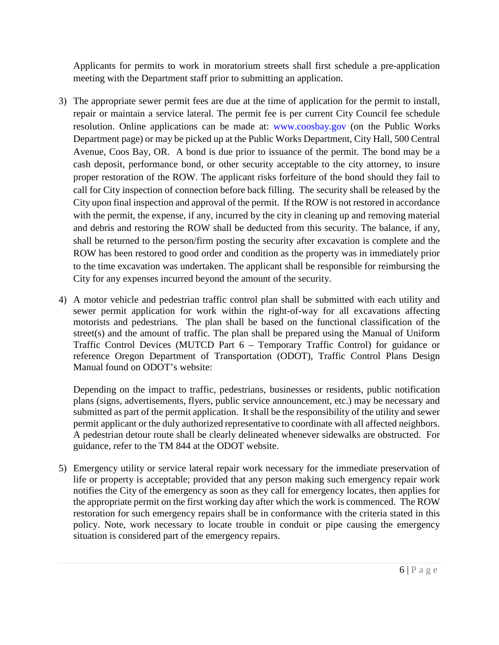Applicants for permits to work in moratorium streets shall first schedule a pre-application meeting with the Department staff prior to submitting an application.

- 3) The appropriate sewer permit fees are due at the time of application for the permit to install, repair or maintain a service lateral. The permit fee is per current City Council fee schedule resolution. Online applications can be made at: www.coosbay.gov (on the Public Works Department page) or may be picked up at the Public Works Department, City Hall, 500 Central Avenue, Coos Bay, OR. A bond is due prior to issuance of the permit. The bond may be a cash deposit, performance bond, or other security acceptable to the city attorney, to insure proper restoration of the ROW. The applicant risks forfeiture of the bond should they fail to call for City inspection of connection before back filling. The security shall be released by the City upon final inspection and approval of the permit. If the ROW is not restored in accordance with the permit, the expense, if any, incurred by the city in cleaning up and removing material and debris and restoring the ROW shall be deducted from this security. The balance, if any, shall be returned to the person/firm posting the security after excavation is complete and the ROW has been restored to good order and condition as the property was in immediately prior to the time excavation was undertaken. The applicant shall be responsible for reimbursing the City for any expenses incurred beyond the amount of the security.
- 4) A motor vehicle and pedestrian traffic control plan shall be submitted with each utility and sewer permit application for work within the right-of-way for all excavations affecting motorists and pedestrians. The plan shall be based on the functional classification of the street(s) and the amount of traffic. The plan shall be prepared using the Manual of Uniform Traffic Control Devices (MUTCD Part 6 – Temporary Traffic Control) for guidance or reference Oregon Department of Transportation (ODOT), Traffic Control Plans Design Manual found on ODOT's website:

Depending on the impact to traffic, pedestrians, businesses or residents, public notification plans (signs, advertisements, flyers, public service announcement, etc.) may be necessary and submitted as part of the permit application. It shall be the responsibility of the utility and sewer permit applicant or the duly authorized representative to coordinate with all affected neighbors. A pedestrian detour route shall be clearly delineated whenever sidewalks are obstructed. For guidance, refer to the TM 844 at the ODOT website.

5) Emergency utility or service lateral repair work necessary for the immediate preservation of life or property is acceptable; provided that any person making such emergency repair work notifies the City of the emergency as soon as they call for emergency locates, then applies for the appropriate permit on the first working day after which the work is commenced. The ROW restoration for such emergency repairs shall be in conformance with the criteria stated in this policy. Note, work necessary to locate trouble in conduit or pipe causing the emergency situation is considered part of the emergency repairs.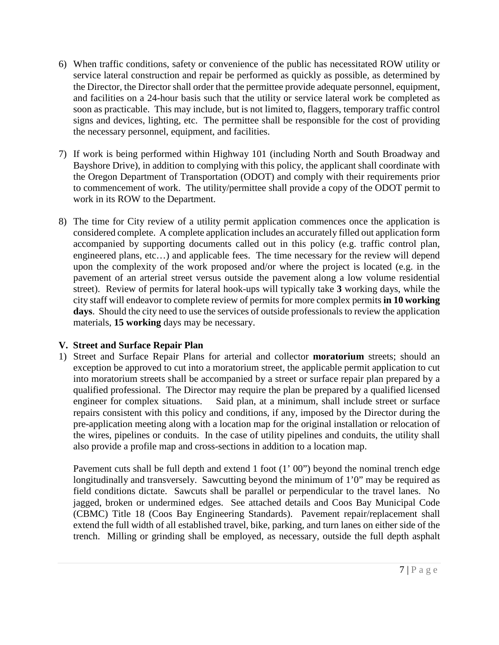- 6) When traffic conditions, safety or convenience of the public has necessitated ROW utility or service lateral construction and repair be performed as quickly as possible, as determined by the Director, the Director shall order that the permittee provide adequate personnel, equipment, and facilities on a 24-hour basis such that the utility or service lateral work be completed as soon as practicable. This may include, but is not limited to, flaggers, temporary traffic control signs and devices, lighting, etc. The permittee shall be responsible for the cost of providing the necessary personnel, equipment, and facilities.
- 7) If work is being performed within Highway 101 (including North and South Broadway and Bayshore Drive), in addition to complying with this policy, the applicant shall coordinate with the Oregon Department of Transportation (ODOT) and comply with their requirements prior to commencement of work. The utility/permittee shall provide a copy of the ODOT permit to work in its ROW to the Department.
- 8) The time for City review of a utility permit application commences once the application is considered complete. A complete application includes an accurately filled out application form accompanied by supporting documents called out in this policy (e.g. traffic control plan, engineered plans, etc…) and applicable fees. The time necessary for the review will depend upon the complexity of the work proposed and/or where the project is located (e.g. in the pavement of an arterial street versus outside the pavement along a low volume residential street). Review of permits for lateral hook-ups will typically take **3** working days, while the city staff will endeavor to complete review of permits for more complex permits **in 10 working days**. Should the city need to use the services of outside professionals to review the application materials, **15 working** days may be necessary.

#### **V. Street and Surface Repair Plan**

1) Street and Surface Repair Plans for arterial and collector **moratorium** streets; should an exception be approved to cut into a moratorium street, the applicable permit application to cut into moratorium streets shall be accompanied by a street or surface repair plan prepared by a qualified professional. The Director may require the plan be prepared by a qualified licensed engineer for complex situations. Said plan, at a minimum, shall include street or surface repairs consistent with this policy and conditions, if any, imposed by the Director during the pre-application meeting along with a location map for the original installation or relocation of the wires, pipelines or conduits. In the case of utility pipelines and conduits, the utility shall also provide a profile map and cross-sections in addition to a location map.

Pavement cuts shall be full depth and extend 1 foot (1' 00") beyond the nominal trench edge longitudinally and transversely. Sawcutting beyond the minimum of 1'0" may be required as field conditions dictate. Sawcuts shall be parallel or perpendicular to the travel lanes. No jagged, broken or undermined edges. See attached details and Coos Bay Municipal Code (CBMC) Title 18 (Coos Bay Engineering Standards). Pavement repair/replacement shall extend the full width of all established travel, bike, parking, and turn lanes on either side of the trench. Milling or grinding shall be employed, as necessary, outside the full depth asphalt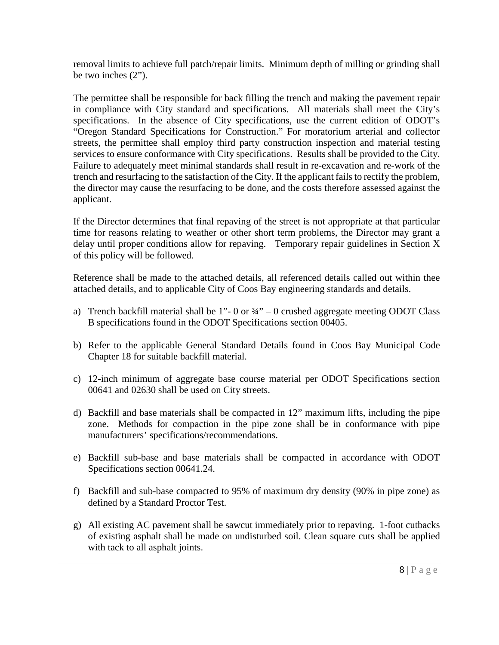removal limits to achieve full patch/repair limits. Minimum depth of milling or grinding shall be two inches (2").

The permittee shall be responsible for back filling the trench and making the pavement repair in compliance with City standard and specifications. All materials shall meet the City's specifications. In the absence of City specifications, use the current edition of ODOT's "Oregon Standard Specifications for Construction." For moratorium arterial and collector streets, the permittee shall employ third party construction inspection and material testing services to ensure conformance with City specifications. Results shall be provided to the City. Failure to adequately meet minimal standards shall result in re-excavation and re-work of the trench and resurfacing to the satisfaction of the City. If the applicant fails to rectify the problem, the director may cause the resurfacing to be done, and the costs therefore assessed against the applicant.

If the Director determines that final repaving of the street is not appropriate at that particular time for reasons relating to weather or other short term problems, the Director may grant a delay until proper conditions allow for repaving. Temporary repair guidelines in Section X of this policy will be followed.

Reference shall be made to the attached details, all referenced details called out within thee attached details, and to applicable City of Coos Bay engineering standards and details.

- a) Trench backfill material shall be 1"- 0 or  $\frac{3}{4}$ " 0 crushed aggregate meeting ODOT Class B specifications found in the ODOT Specifications section 00405.
- b) Refer to the applicable General Standard Details found in Coos Bay Municipal Code Chapter 18 for suitable backfill material.
- c) 12-inch minimum of aggregate base course material per ODOT Specifications section 00641 and 02630 shall be used on City streets.
- d) Backfill and base materials shall be compacted in 12" maximum lifts, including the pipe zone. Methods for compaction in the pipe zone shall be in conformance with pipe manufacturers' specifications/recommendations.
- e) Backfill sub-base and base materials shall be compacted in accordance with ODOT Specifications section 00641.24.
- f) Backfill and sub-base compacted to 95% of maximum dry density (90% in pipe zone) as defined by a Standard Proctor Test.
- g) All existing AC pavement shall be sawcut immediately prior to repaving. 1-foot cutbacks of existing asphalt shall be made on undisturbed soil. Clean square cuts shall be applied with tack to all asphalt joints.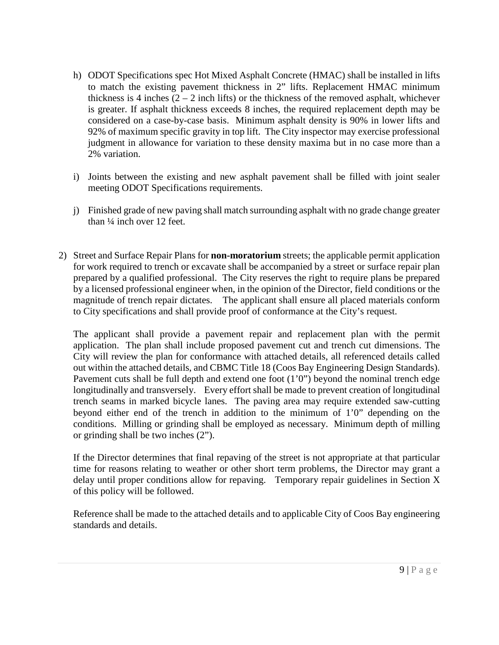- h) ODOT Specifications spec Hot Mixed Asphalt Concrete (HMAC) shall be installed in lifts to match the existing pavement thickness in 2" lifts. Replacement HMAC minimum thickness is 4 inches  $(2 - 2$  inch lifts) or the thickness of the removed asphalt, whichever is greater. If asphalt thickness exceeds 8 inches, the required replacement depth may be considered on a case-by-case basis. Minimum asphalt density is 90% in lower lifts and 92% of maximum specific gravity in top lift. The City inspector may exercise professional judgment in allowance for variation to these density maxima but in no case more than a 2% variation.
- i) Joints between the existing and new asphalt pavement shall be filled with joint sealer meeting ODOT Specifications requirements.
- j) Finished grade of new paving shall match surrounding asphalt with no grade change greater than ¼ inch over 12 feet.
- 2) Street and Surface Repair Plans for **non-moratorium** streets; the applicable permit application for work required to trench or excavate shall be accompanied by a street or surface repair plan prepared by a qualified professional. The City reserves the right to require plans be prepared by a licensed professional engineer when, in the opinion of the Director, field conditions or the magnitude of trench repair dictates. The applicant shall ensure all placed materials conform to City specifications and shall provide proof of conformance at the City's request.

The applicant shall provide a pavement repair and replacement plan with the permit application. The plan shall include proposed pavement cut and trench cut dimensions. The City will review the plan for conformance with attached details, all referenced details called out within the attached details, and CBMC Title 18 (Coos Bay Engineering Design Standards). Pavement cuts shall be full depth and extend one foot (1'0") beyond the nominal trench edge longitudinally and transversely. Every effort shall be made to prevent creation of longitudinal trench seams in marked bicycle lanes. The paving area may require extended saw-cutting beyond either end of the trench in addition to the minimum of 1'0" depending on the conditions. Milling or grinding shall be employed as necessary. Minimum depth of milling or grinding shall be two inches (2").

If the Director determines that final repaving of the street is not appropriate at that particular time for reasons relating to weather or other short term problems, the Director may grant a delay until proper conditions allow for repaving. Temporary repair guidelines in Section X of this policy will be followed.

Reference shall be made to the attached details and to applicable City of Coos Bay engineering standards and details.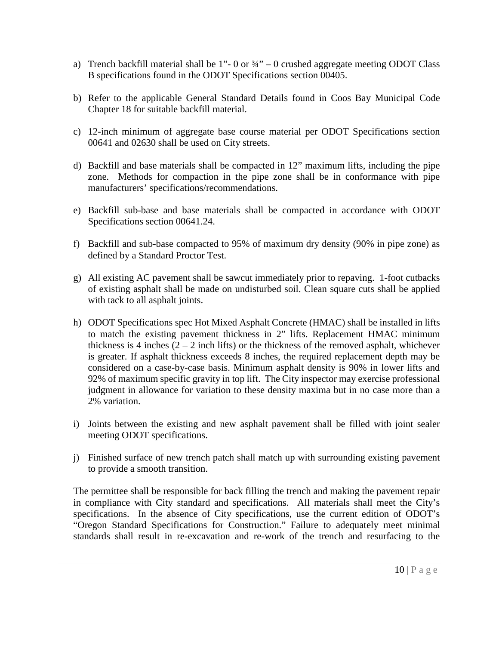- a) Trench backfill material shall be 1"- 0 or  $\frac{3}{4}$ " 0 crushed aggregate meeting ODOT Class B specifications found in the ODOT Specifications section 00405.
- b) Refer to the applicable General Standard Details found in Coos Bay Municipal Code Chapter 18 for suitable backfill material.
- c) 12-inch minimum of aggregate base course material per ODOT Specifications section 00641 and 02630 shall be used on City streets.
- d) Backfill and base materials shall be compacted in 12" maximum lifts, including the pipe zone. Methods for compaction in the pipe zone shall be in conformance with pipe manufacturers' specifications/recommendations.
- e) Backfill sub-base and base materials shall be compacted in accordance with ODOT Specifications section 00641.24.
- f) Backfill and sub-base compacted to 95% of maximum dry density (90% in pipe zone) as defined by a Standard Proctor Test.
- g) All existing AC pavement shall be sawcut immediately prior to repaving. 1-foot cutbacks of existing asphalt shall be made on undisturbed soil. Clean square cuts shall be applied with tack to all asphalt joints.
- h) ODOT Specifications spec Hot Mixed Asphalt Concrete (HMAC) shall be installed in lifts to match the existing pavement thickness in 2" lifts. Replacement HMAC minimum thickness is 4 inches  $(2 - 2$  inch lifts) or the thickness of the removed asphalt, whichever is greater. If asphalt thickness exceeds 8 inches, the required replacement depth may be considered on a case-by-case basis. Minimum asphalt density is 90% in lower lifts and 92% of maximum specific gravity in top lift. The City inspector may exercise professional judgment in allowance for variation to these density maxima but in no case more than a 2% variation.
- i) Joints between the existing and new asphalt pavement shall be filled with joint sealer meeting ODOT specifications.
- j) Finished surface of new trench patch shall match up with surrounding existing pavement to provide a smooth transition.

The permittee shall be responsible for back filling the trench and making the pavement repair in compliance with City standard and specifications. All materials shall meet the City's specifications. In the absence of City specifications, use the current edition of ODOT's "Oregon Standard Specifications for Construction." Failure to adequately meet minimal standards shall result in re-excavation and re-work of the trench and resurfacing to the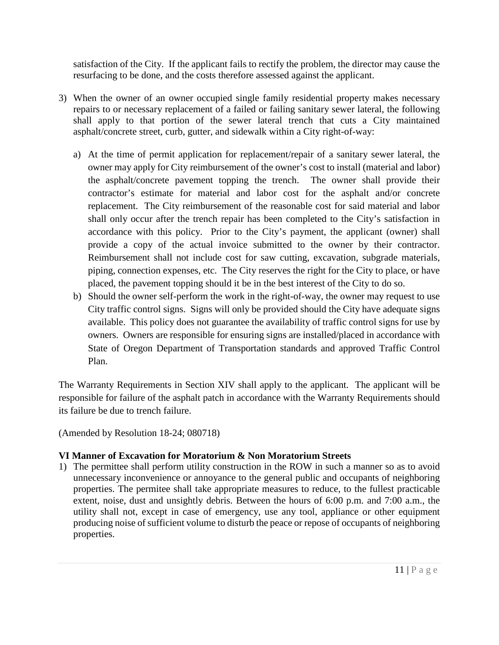satisfaction of the City. If the applicant fails to rectify the problem, the director may cause the resurfacing to be done, and the costs therefore assessed against the applicant.

- 3) When the owner of an owner occupied single family residential property makes necessary repairs to or necessary replacement of a failed or failing sanitary sewer lateral, the following shall apply to that portion of the sewer lateral trench that cuts a City maintained asphalt/concrete street, curb, gutter, and sidewalk within a City right-of-way:
	- a) At the time of permit application for replacement/repair of a sanitary sewer lateral, the owner may apply for City reimbursement of the owner's cost to install (material and labor) the asphalt/concrete pavement topping the trench. The owner shall provide their contractor's estimate for material and labor cost for the asphalt and/or concrete replacement. The City reimbursement of the reasonable cost for said material and labor shall only occur after the trench repair has been completed to the City's satisfaction in accordance with this policy. Prior to the City's payment, the applicant (owner) shall provide a copy of the actual invoice submitted to the owner by their contractor. Reimbursement shall not include cost for saw cutting, excavation, subgrade materials, piping, connection expenses, etc. The City reserves the right for the City to place, or have placed, the pavement topping should it be in the best interest of the City to do so.
	- b) Should the owner self-perform the work in the right-of-way, the owner may request to use City traffic control signs. Signs will only be provided should the City have adequate signs available. This policy does not guarantee the availability of traffic control signs for use by owners. Owners are responsible for ensuring signs are installed/placed in accordance with State of Oregon Department of Transportation standards and approved Traffic Control Plan.

The Warranty Requirements in Section XIV shall apply to the applicant. The applicant will be responsible for failure of the asphalt patch in accordance with the Warranty Requirements should its failure be due to trench failure.

(Amended by Resolution 18-24; 080718)

# **VI Manner of Excavation for Moratorium & Non Moratorium Streets**

1) The permittee shall perform utility construction in the ROW in such a manner so as to avoid unnecessary inconvenience or annoyance to the general public and occupants of neighboring properties. The permitee shall take appropriate measures to reduce, to the fullest practicable extent, noise, dust and unsightly debris. Between the hours of 6:00 p.m. and 7:00 a.m., the utility shall not, except in case of emergency, use any tool, appliance or other equipment producing noise of sufficient volume to disturb the peace or repose of occupants of neighboring properties.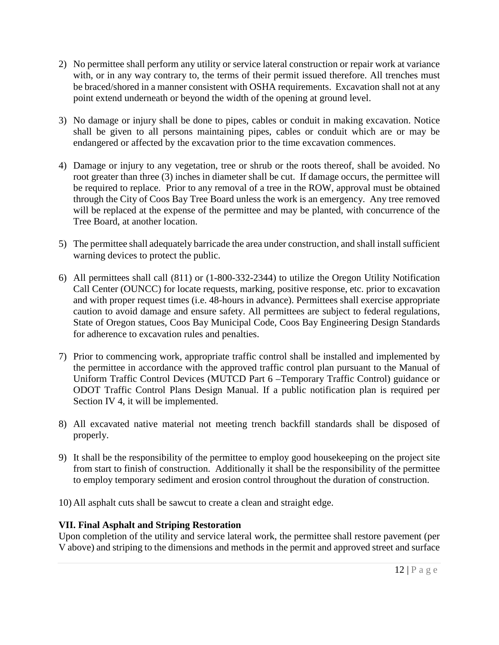- 2) No permittee shall perform any utility or service lateral construction or repair work at variance with, or in any way contrary to, the terms of their permit issued therefore. All trenches must be braced/shored in a manner consistent with OSHA requirements. Excavation shall not at any point extend underneath or beyond the width of the opening at ground level.
- 3) No damage or injury shall be done to pipes, cables or conduit in making excavation. Notice shall be given to all persons maintaining pipes, cables or conduit which are or may be endangered or affected by the excavation prior to the time excavation commences.
- 4) Damage or injury to any vegetation, tree or shrub or the roots thereof, shall be avoided. No root greater than three (3) inches in diameter shall be cut. If damage occurs, the permittee will be required to replace. Prior to any removal of a tree in the ROW, approval must be obtained through the City of Coos Bay Tree Board unless the work is an emergency. Any tree removed will be replaced at the expense of the permittee and may be planted, with concurrence of the Tree Board, at another location.
- 5) The permittee shall adequately barricade the area under construction, and shall install sufficient warning devices to protect the public.
- 6) All permittees shall call (811) or (1-800-332-2344) to utilize the Oregon Utility Notification Call Center (OUNCC) for locate requests, marking, positive response, etc. prior to excavation and with proper request times (i.e. 48-hours in advance). Permittees shall exercise appropriate caution to avoid damage and ensure safety. All permittees are subject to federal regulations, State of Oregon statues, Coos Bay Municipal Code, Coos Bay Engineering Design Standards for adherence to excavation rules and penalties.
- 7) Prior to commencing work, appropriate traffic control shall be installed and implemented by the permittee in accordance with the approved traffic control plan pursuant to the Manual of Uniform Traffic Control Devices (MUTCD Part 6 –Temporary Traffic Control) guidance or ODOT Traffic Control Plans Design Manual. If a public notification plan is required per Section IV 4, it will be implemented.
- 8) All excavated native material not meeting trench backfill standards shall be disposed of properly.
- 9) It shall be the responsibility of the permittee to employ good housekeeping on the project site from start to finish of construction. Additionally it shall be the responsibility of the permittee to employ temporary sediment and erosion control throughout the duration of construction.
- 10) All asphalt cuts shall be sawcut to create a clean and straight edge.

# **VII. Final Asphalt and Striping Restoration**

Upon completion of the utility and service lateral work, the permittee shall restore pavement (per V above) and striping to the dimensions and methods in the permit and approved street and surface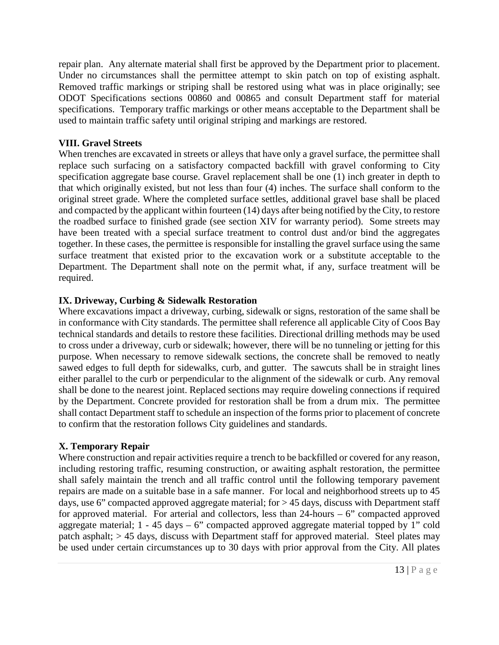repair plan. Any alternate material shall first be approved by the Department prior to placement. Under no circumstances shall the permittee attempt to skin patch on top of existing asphalt. Removed traffic markings or striping shall be restored using what was in place originally; see ODOT Specifications sections 00860 and 00865 and consult Department staff for material specifications. Temporary traffic markings or other means acceptable to the Department shall be used to maintain traffic safety until original striping and markings are restored.

#### **VIII. Gravel Streets**

When trenches are excavated in streets or alleys that have only a gravel surface, the permittee shall replace such surfacing on a satisfactory compacted backfill with gravel conforming to City specification aggregate base course. Gravel replacement shall be one (1) inch greater in depth to that which originally existed, but not less than four (4) inches. The surface shall conform to the original street grade. Where the completed surface settles, additional gravel base shall be placed and compacted by the applicant within fourteen (14) days after being notified by the City, to restore the roadbed surface to finished grade (see section XIV for warranty period). Some streets may have been treated with a special surface treatment to control dust and/or bind the aggregates together. In these cases, the permittee is responsible for installing the gravel surface using the same surface treatment that existed prior to the excavation work or a substitute acceptable to the Department. The Department shall note on the permit what, if any, surface treatment will be required.

# **IX. Driveway, Curbing & Sidewalk Restoration**

Where excavations impact a driveway, curbing, sidewalk or signs, restoration of the same shall be in conformance with City standards. The permittee shall reference all applicable City of Coos Bay technical standards and details to restore these facilities. Directional drilling methods may be used to cross under a driveway, curb or sidewalk; however, there will be no tunneling or jetting for this purpose. When necessary to remove sidewalk sections, the concrete shall be removed to neatly sawed edges to full depth for sidewalks, curb, and gutter. The sawcuts shall be in straight lines either parallel to the curb or perpendicular to the alignment of the sidewalk or curb. Any removal shall be done to the nearest joint. Replaced sections may require doweling connections if required by the Department. Concrete provided for restoration shall be from a drum mix. The permittee shall contact Department staff to schedule an inspection of the forms prior to placement of concrete to confirm that the restoration follows City guidelines and standards.

# **X. Temporary Repair**

Where construction and repair activities require a trench to be backfilled or covered for any reason, including restoring traffic, resuming construction, or awaiting asphalt restoration, the permittee shall safely maintain the trench and all traffic control until the following temporary pavement repairs are made on a suitable base in a safe manner. For local and neighborhood streets up to 45 days, use 6" compacted approved aggregate material; for > 45 days, discuss with Department staff for approved material. For arterial and collectors, less than  $24$ -hours – 6" compacted approved aggregate material;  $1 - 45$  days  $-6$ " compacted approved aggregate material topped by 1" cold patch asphalt; > 45 days, discuss with Department staff for approved material. Steel plates may be used under certain circumstances up to 30 days with prior approval from the City. All plates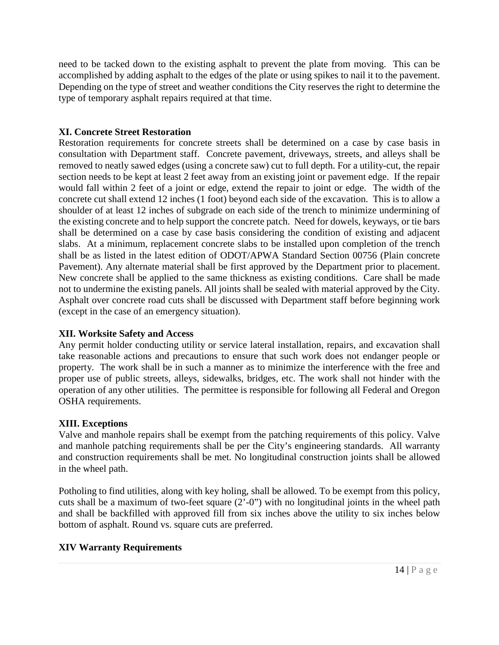need to be tacked down to the existing asphalt to prevent the plate from moving. This can be accomplished by adding asphalt to the edges of the plate or using spikes to nail it to the pavement. Depending on the type of street and weather conditions the City reserves the right to determine the type of temporary asphalt repairs required at that time.

#### **XI. Concrete Street Restoration**

Restoration requirements for concrete streets shall be determined on a case by case basis in consultation with Department staff. Concrete pavement, driveways, streets, and alleys shall be removed to neatly sawed edges (using a concrete saw) cut to full depth. For a utility-cut, the repair section needs to be kept at least 2 feet away from an existing joint or pavement edge. If the repair would fall within 2 feet of a joint or edge, extend the repair to joint or edge. The width of the concrete cut shall extend 12 inches (1 foot) beyond each side of the excavation. This is to allow a shoulder of at least 12 inches of subgrade on each side of the trench to minimize undermining of the existing concrete and to help support the concrete patch. Need for dowels, keyways, or tie bars shall be determined on a case by case basis considering the condition of existing and adjacent slabs. At a minimum, replacement concrete slabs to be installed upon completion of the trench shall be as listed in the latest edition of ODOT/APWA Standard Section 00756 (Plain concrete Pavement). Any alternate material shall be first approved by the Department prior to placement. New concrete shall be applied to the same thickness as existing conditions. Care shall be made not to undermine the existing panels. All joints shall be sealed with material approved by the City. Asphalt over concrete road cuts shall be discussed with Department staff before beginning work (except in the case of an emergency situation).

# **XII. Worksite Safety and Access**

Any permit holder conducting utility or service lateral installation, repairs, and excavation shall take reasonable actions and precautions to ensure that such work does not endanger people or property. The work shall be in such a manner as to minimize the interference with the free and proper use of public streets, alleys, sidewalks, bridges, etc. The work shall not hinder with the operation of any other utilities. The permittee is responsible for following all Federal and Oregon OSHA requirements.

# **XIII. Exceptions**

Valve and manhole repairs shall be exempt from the patching requirements of this policy. Valve and manhole patching requirements shall be per the City's engineering standards. All warranty and construction requirements shall be met. No longitudinal construction joints shall be allowed in the wheel path.

Potholing to find utilities, along with key holing, shall be allowed. To be exempt from this policy, cuts shall be a maximum of two-feet square (2'-0") with no longitudinal joints in the wheel path and shall be backfilled with approved fill from six inches above the utility to six inches below bottom of asphalt. Round vs. square cuts are preferred.

# **XIV Warranty Requirements**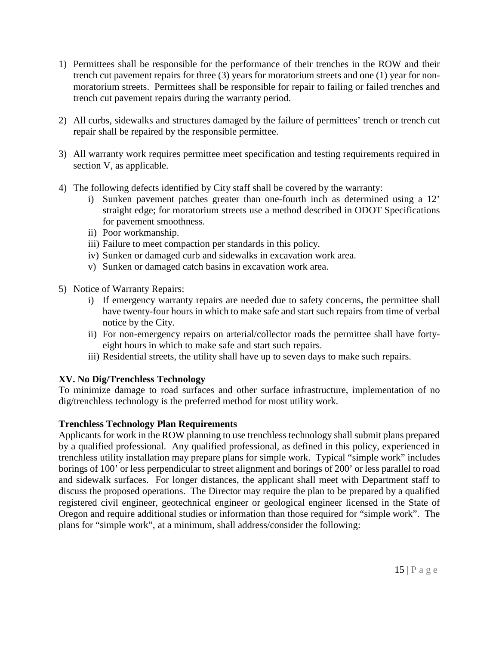- 1) Permittees shall be responsible for the performance of their trenches in the ROW and their trench cut pavement repairs for three (3) years for moratorium streets and one (1) year for nonmoratorium streets. Permittees shall be responsible for repair to failing or failed trenches and trench cut pavement repairs during the warranty period.
- 2) All curbs, sidewalks and structures damaged by the failure of permittees' trench or trench cut repair shall be repaired by the responsible permittee.
- 3) All warranty work requires permittee meet specification and testing requirements required in section V, as applicable.
- 4) The following defects identified by City staff shall be covered by the warranty:
	- i) Sunken pavement patches greater than one-fourth inch as determined using a 12' straight edge; for moratorium streets use a method described in ODOT Specifications for pavement smoothness.
	- ii) Poor workmanship.
	- iii) Failure to meet compaction per standards in this policy.
	- iv) Sunken or damaged curb and sidewalks in excavation work area.
	- v) Sunken or damaged catch basins in excavation work area.
- 5) Notice of Warranty Repairs:
	- i) If emergency warranty repairs are needed due to safety concerns, the permittee shall have twenty-four hours in which to make safe and start such repairs from time of verbal notice by the City.
	- ii) For non-emergency repairs on arterial/collector roads the permittee shall have fortyeight hours in which to make safe and start such repairs.
	- iii) Residential streets, the utility shall have up to seven days to make such repairs.

# **XV. No Dig/Trenchless Technology**

To minimize damage to road surfaces and other surface infrastructure, implementation of no dig/trenchless technology is the preferred method for most utility work.

# **Trenchless Technology Plan Requirements**

Applicants for work in the ROW planning to use trenchless technology shall submit plans prepared by a qualified professional. Any qualified professional, as defined in this policy, experienced in trenchless utility installation may prepare plans for simple work. Typical "simple work" includes borings of 100' or less perpendicular to street alignment and borings of 200' or less parallel to road and sidewalk surfaces. For longer distances, the applicant shall meet with Department staff to discuss the proposed operations. The Director may require the plan to be prepared by a qualified registered civil engineer, geotechnical engineer or geological engineer licensed in the State of Oregon and require additional studies or information than those required for "simple work". The plans for "simple work", at a minimum, shall address/consider the following: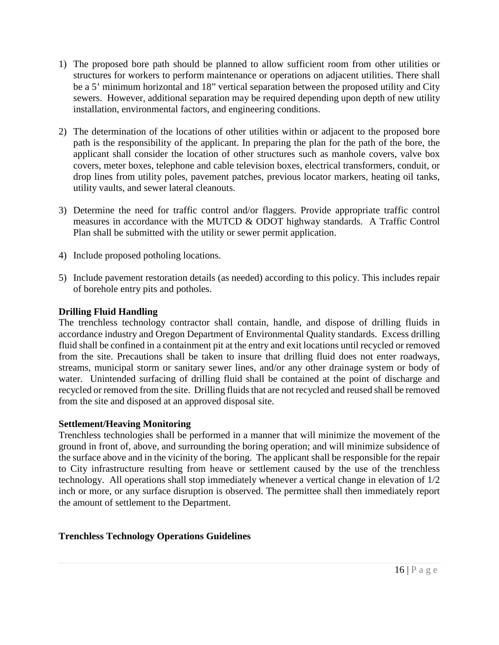- 1) The proposed bore path should be planned to allow sufficient room from other utilities or structures for workers to perform maintenance or operations on adjacent utilities. There shall be a 5' minimum horizontal and 18" vertical separation between the proposed utility and City sewers. However, additional separation may be required depending upon depth of new utility installation, environmental factors, and engineering conditions.
- 2) The determination of the locations of other utilities within or adjacent to the proposed bore path is the responsibility of the applicant. In preparing the plan for the path of the bore, the applicant shall consider the location of other structures such as manhole covers, valve box covers, meter boxes, telephone and cable television boxes, electrical transformers, conduit, or drop lines from utility poles, pavement patches, previous locator markers, heating oil tanks, utility vaults, and sewer lateral cleanouts.
- 3) Determine the need for traffic control and/or flaggers. Provide appropriate traffic control measures in accordance with the MUTCD & ODOT highway standards. A Traffic Control Plan shall be submitted with the utility or sewer permit application.
- 4) Include proposed potholing locations.
- 5) Include pavement restoration details (as needed) according to [this](http://this/) policy. This includes repair of borehole entry pits and potholes.

#### **Drilling Fluid Handling**

The trenchless technology contractor shall contain, handle, and dispose of drilling fluids in accordance industry and Oregon Department of Environmental Quality standards. Excess drilling fluid shall be confined in a containment pit at the entry and exit locations until recycled or removed from the site. Precautions shall be taken to insure that drilling fluid does not enter roadways, streams, municipal storm or sanitary sewer lines, and/or any other drainage system or body of water. Unintended surfacing of drilling fluid shall be contained at the point of discharge and recycled or removed from the site. Drilling fluids that are not recycled and reused shall be removed from the site and disposed at an approved disposal site.

#### **Settlement/Heaving Monitoring**

Trenchless technologies shall be performed in a manner that will minimize the movement of the ground in front of, above, and surrounding the boring operation; and will minimize subsidence of the surface above and in the vicinity of the boring. The applicant shall be responsible for the repair to City infrastructure resulting from heave or settlement caused by the use of the trenchless technology. All operations shall stop immediately whenever a vertical change in elevation of 1/2 inch or more, or any surface disruption is observed. The permittee shall then immediately report the amount of settlement to the Department.

#### **Trenchless Technology Operations Guidelines**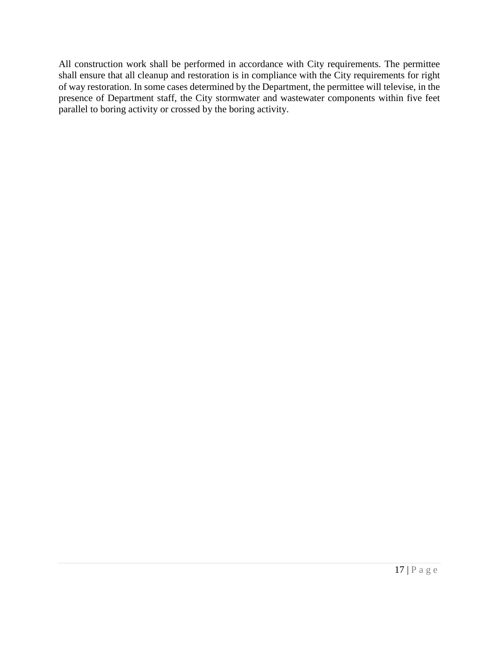All construction work shall be performed in accordance with City requirements. The permittee shall ensure that all cleanup and restoration is in compliance with the City requirements for right of way restoration. In some cases determined by the Department, the permittee will televise, in the presence of Department staff, the City stormwater and wastewater components within five feet parallel to boring activity or crossed by the boring activity.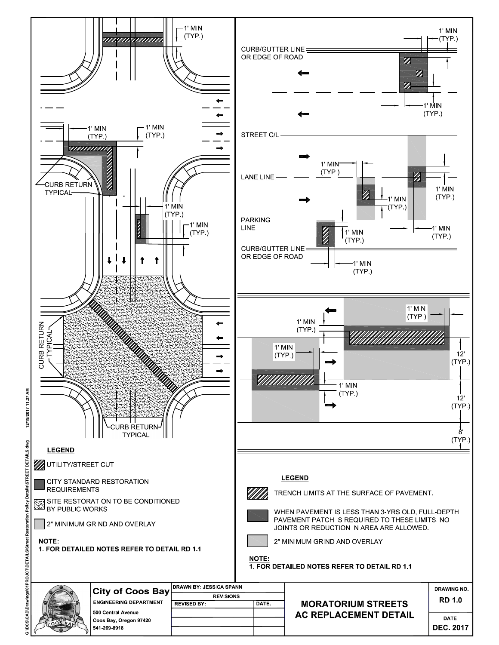

Policy Details\STREET DETAILS dwg G:IDCSICADIDrawings\01PROJCT\DETAILS\Street Restoration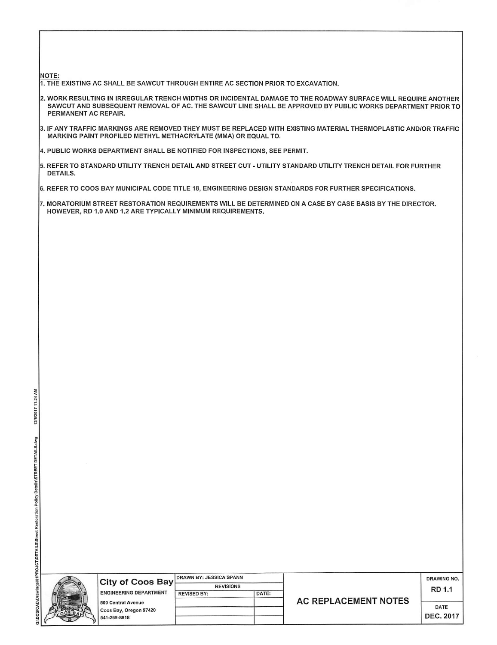#### **NOTE:**

- 1. THE EXISTING AC SHALL BE SAWCUT THROUGH ENTIRE AC SECTION PRIOR TO EXCAVATION.
- 2. WORK RESULTING IN IRREGULAR TRENCH WIDTHS OR INCIDENTAL DAMAGE TO THE ROADWAY SURFACE WILL REQUIRE ANOTHER SAWCUT AND SUBSEQUENT REMOVAL OF AC. THE SAWCUT LINE SHALL BE APPROVED BY PUBLIC WORKS DEPARTMENT PRIOR TO PERMANENT AC REPAIR.
- 3. IF ANY TRAFFIC MARKINGS ARE REMOVED THEY MUST BE REPLACED WITH EXISTING MATERIAL THERMOPLASTIC AND/OR TRAFFIC MARKING PAINT PROFILED METHYL METHACRYLATE (MMA) OR EQUAL TO.
- 4. PUBLIC WORKS DEPARTMENT SHALL BE NOTIFIED FOR INSPECTIONS. SEE PERMIT.
- 5. REFER TO STANDARD UTILITY TRENCH DETAIL AND STREET CUT UTILITY STANDARD UTILITY TRENCH DETAIL FOR FURTHER DETAILS.
- 6. REFER TO COOS BAY MUNICIPAL CODE TITLE 18, ENGINEERING DESIGN STANDARDS FOR FURTHER SPECIFICATIONS.
- 7. MORATORIUM STREET RESTORATION REQUIREMENTS WILL BE DETERMINED ON A CASE BY CASE BASIS BY THE DIRECTOR. HOWEVER, RD 1.0 AND 1.2 ARE TYPICALLY MINIMUM REQUIREMENTS.

| i<br>֧֦֖֖֖֖֧֪֧֪֧֚֚֚֚֚֚֚֚֚֚֚֚֚֚֚֚֚֚֚֚֚֚֚֚֚֚֝֝֝֝֓֝֓֝֬֝֓ |  |
|-------------------------------------------------------|--|

| City of Coos Bay | <b>DRAWN BY: JESSICA SPANN</b> |                    |       |
|------------------|--------------------------------|--------------------|-------|
|                  |                                | <b>REVISIONS</b>   |       |
|                  | <b>ENGINEERING DEPARTMENT</b>  | <b>REVISED BY:</b> | DATE: |
|                  | 500 Central Avenue             |                    |       |
|                  | Coos Bay, Oregon 97420         |                    |       |
|                  | 541-269-8918                   |                    |       |

|  |  | <b>AC REPLACEMENT NOTES</b> |  |  |
|--|--|-----------------------------|--|--|
|--|--|-----------------------------|--|--|

DRAWING NO. RD 1.1